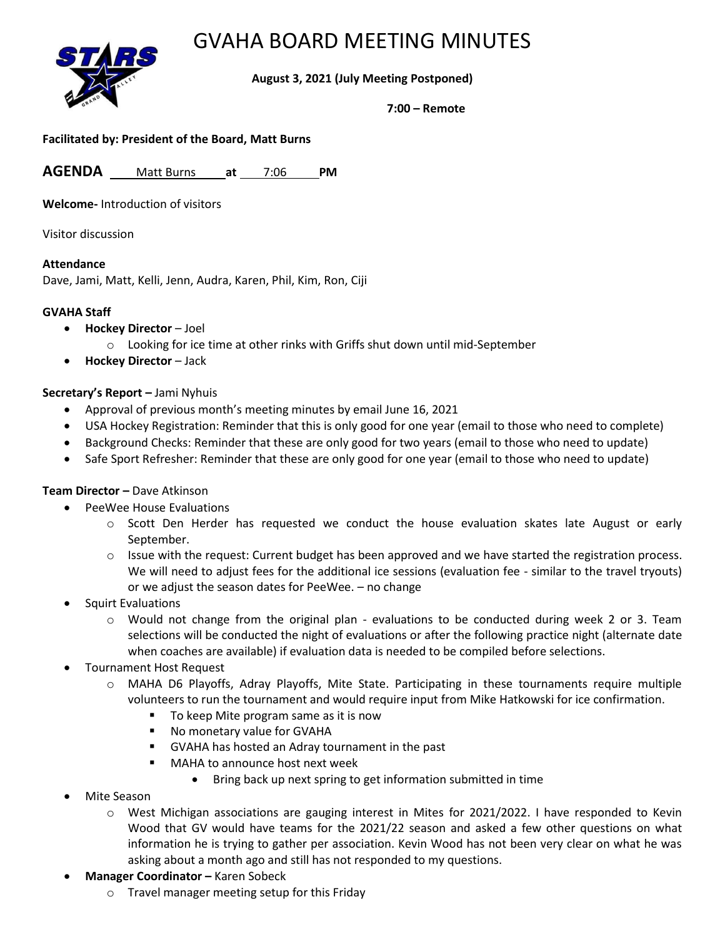## GVAHA BOARD MEETING MINUTES



### **August 3, 2021 (July Meeting Postponed)**

## **7:00 – Remote**

### **Facilitated by: President of the Board, Matt Burns**

**AGENDA** Matt Burns **at** 7:06 **PM**

**Welcome-** Introduction of visitors

Visitor discussion

#### **Attendance**

Dave, Jami, Matt, Kelli, Jenn, Audra, Karen, Phil, Kim, Ron, Ciji

#### **GVAHA Staff**

- **Hockey Director** Joel
	- o Looking for ice time at other rinks with Griffs shut down until mid-September
- **Hockey Director** Jack

#### **Secretary's Report –** Jami Nyhuis

- Approval of previous month's meeting minutes by email June 16, 2021
- USA Hockey Registration: Reminder that this is only good for one year (email to those who need to complete)
- Background Checks: Reminder that these are only good for two years (email to those who need to update)
- Safe Sport Refresher: Reminder that these are only good for one year (email to those who need to update)

### **Team Director –** Dave Atkinson

- PeeWee House Evaluations
	- o Scott Den Herder has requested we conduct the house evaluation skates late August or early September.
	- $\circ$  Issue with the request: Current budget has been approved and we have started the registration process. We will need to adjust fees for the additional ice sessions (evaluation fee - similar to the travel tryouts) or we adjust the season dates for PeeWee. – no change
- Squirt Evaluations
	- $\circ$  Would not change from the original plan evaluations to be conducted during week 2 or 3. Team selections will be conducted the night of evaluations or after the following practice night (alternate date when coaches are available) if evaluation data is needed to be compiled before selections.
- Tournament Host Request
	- o MAHA D6 Playoffs, Adray Playoffs, Mite State. Participating in these tournaments require multiple volunteers to run the tournament and would require input from Mike Hatkowski for ice confirmation.
		- To keep Mite program same as it is now
		- No monetary value for GVAHA
		- GVAHA has hosted an Adray tournament in the past
		- MAHA to announce host next week
			- Bring back up next spring to get information submitted in time
- Mite Season
	- o West Michigan associations are gauging interest in Mites for 2021/2022. I have responded to Kevin Wood that GV would have teams for the 2021/22 season and asked a few other questions on what information he is trying to gather per association. Kevin Wood has not been very clear on what he was asking about a month ago and still has not responded to my questions.
- **Manager Coordinator –** Karen Sobeck
	- o Travel manager meeting setup for this Friday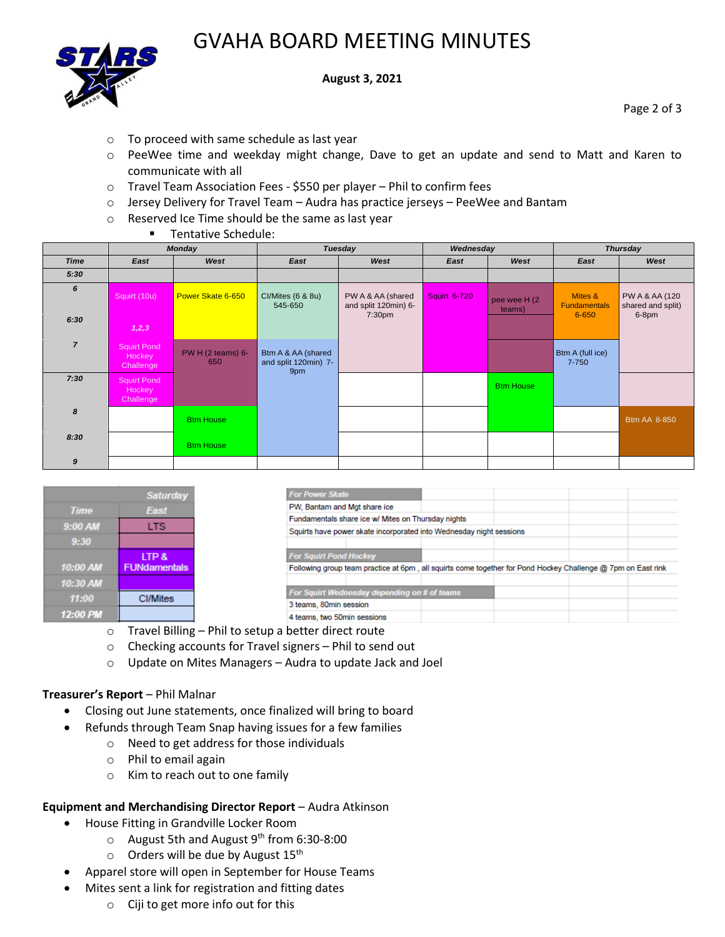# GVAHA BOARD MEETING MINUTES



### **August 3, 2021**

Page 2 of 3

- o To proceed with same schedule as last year
- o PeeWee time and weekday might change, Dave to get an update and send to Matt and Karen to communicate with all
- o Travel Team Association Fees \$550 per player Phil to confirm fees
- $\circ$  Jersey Delivery for Travel Team Audra has practice jerseys PeeWee and Bantam
- o Reserved Ice Time should be the same as last year
	- Tentative Schedule:

|                |                                                   | <b>Monday</b>              |                                                   | Tuesday                                                         | Wednesday           |                        |                                         | <b>Thursday</b>                              |
|----------------|---------------------------------------------------|----------------------------|---------------------------------------------------|-----------------------------------------------------------------|---------------------|------------------------|-----------------------------------------|----------------------------------------------|
| <b>Time</b>    | East                                              | West                       | East                                              | West                                                            | East                | West                   | East                                    | West                                         |
| 5:30           |                                                   |                            |                                                   |                                                                 |                     |                        |                                         |                                              |
| 6<br>6:30      | Squirt (10u)                                      | Power Skate 6-650          | Cl/Mites (6 & 8u)<br>545-650                      | PW A & AA (shared<br>and split 120min) 6-<br>7:30 <sub>pm</sub> | <b>Squirt 6-720</b> | pee wee H (2<br>teams) | Mites &<br><b>Fundamentals</b><br>6-650 | PW A & AA (120<br>shared and split)<br>6-8pm |
|                | 1, 2, 3                                           |                            |                                                   |                                                                 |                     |                        |                                         |                                              |
| $\overline{7}$ | <b>Squirt Pond</b><br>Hockey<br>Challenge         | $PW H (2 teams) 6-$<br>650 | Btm A & AA (shared<br>and split 120min) 7-<br>9pm |                                                                 |                     |                        | Btm A (full ice)<br>$7 - 750$           |                                              |
| 7:30           | <b>Squirt Pond</b><br>Hockey,<br><b>Challenge</b> |                            |                                                   |                                                                 |                     | <b>Btm House</b>       |                                         |                                              |
| 8              |                                                   | <b>Btm House</b>           |                                                   |                                                                 |                     |                        |                                         | <b>Btm AA 8-850</b>                          |
| 8:30           |                                                   | <b>Btm House</b>           |                                                   |                                                                 |                     |                        |                                         |                                              |
| 9              |                                                   |                            |                                                   |                                                                 |                     |                        |                                         |                                              |

|             | <b>Saturday</b>     |
|-------------|---------------------|
| <b>Time</b> | East                |
| $9:00$ AM   | <b>LTS</b>          |
|             |                     |
| 9:30        |                     |
|             | LTP&                |
| 10:00 AM    | <b>FUNdamentals</b> |
| 10:30 AM    |                     |
| 11:00       | <b>CI/Mites</b>     |
|             |                     |
| 12:00 PM    |                     |

- o Travel Billing Phil to setup a better direct route
- o Checking accounts for Travel signers Phil to send out
- o Update on Mites Managers Audra to update Jack and Joel

### **Treasurer's Report** – Phil Malnar

- Closing out June statements, once finalized will bring to board
	- Refunds through Team Snap having issues for a few families
		- o Need to get address for those individuals
		- o Phil to email again
		- o Kim to reach out to one family

### **Equipment and Merchandising Director Report** – Audra Atkinson

- House Fitting in Grandville Locker Room
	- o August 5th and August 9th from 6:30-8:00
	- $\circ$  Orders will be due by August 15<sup>th</sup>
- Apparel store will open in September for House Teams
- Mites sent a link for registration and fitting dates
	- o Ciji to get more info out for this